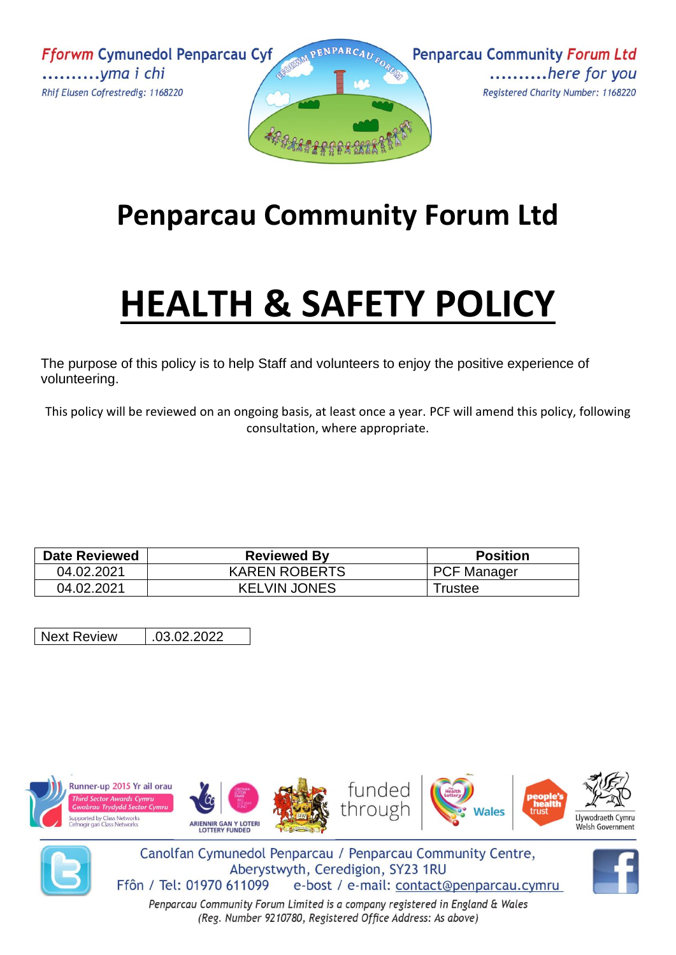**Fforwm Cymunedol Penparcau Cyf** ............*yma i chi* Rhif Elusen Cofrestredig: 1168220





# **Penparcau Community Forum Ltd**

# **HEALTH & SAFETY POLICY**

The purpose of this policy is to help Staff and volunteers to enjoy the positive experience of volunteering.

This policy will be reviewed on an ongoing basis, at least once a year. PCF will amend this policy, following consultation, where appropriate.

| <b>Date Reviewed</b> | <b>Reviewed By</b>   | <b>Position</b>    |
|----------------------|----------------------|--------------------|
| 04.02.2021           | <b>KAREN ROBERTS</b> | <b>PCF Manager</b> |
| 04.02.2021           | <b>KELVIN JONES</b>  | rustee             |

Next Review | .03.02.2022





Canolfan Cymunedol Penparcau / Penparcau Community Centre, Aberystwyth, Ceredigion, SY23 1RU Ffôn / Tel: 01970 611099 e-bost / e-mail: contact@penparcau.cymru

Penparcau Community Forum Limited is a company registered in England & Wales (Reg. Number 9210780, Registered Office Address: As above)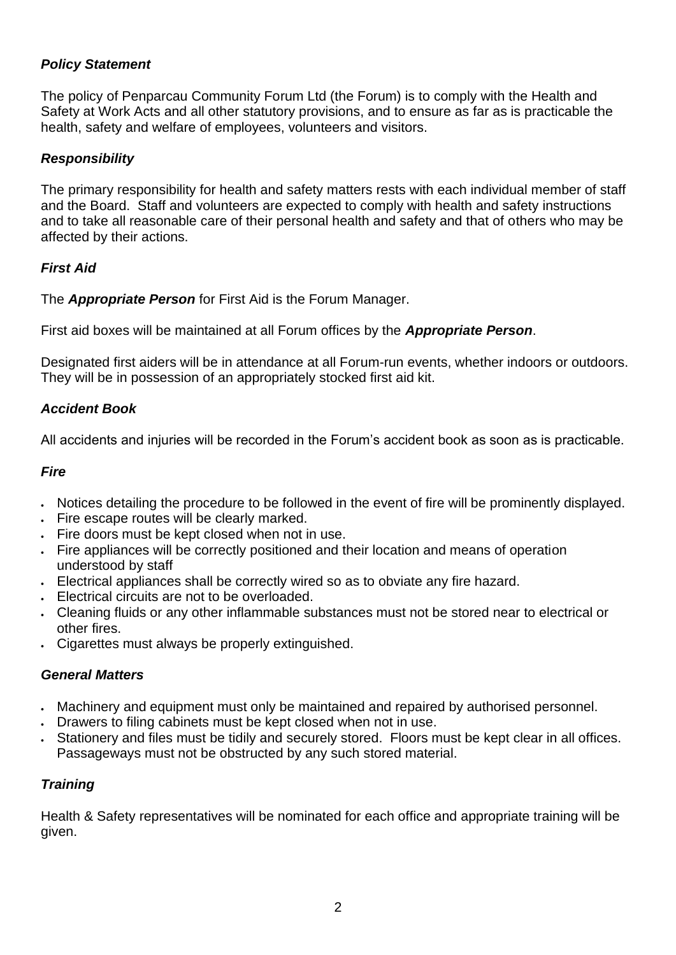# *Policy Statement*

The policy of Penparcau Community Forum Ltd (the Forum) is to comply with the Health and Safety at Work Acts and all other statutory provisions, and to ensure as far as is practicable the health, safety and welfare of employees, volunteers and visitors.

#### *Responsibility*

The primary responsibility for health and safety matters rests with each individual member of staff and the Board. Staff and volunteers are expected to comply with health and safety instructions and to take all reasonable care of their personal health and safety and that of others who may be affected by their actions.

# *First Aid*

The *Appropriate Person* for First Aid is the Forum Manager.

First aid boxes will be maintained at all Forum offices by the *Appropriate Person*.

Designated first aiders will be in attendance at all Forum-run events, whether indoors or outdoors. They will be in possession of an appropriately stocked first aid kit.

#### *Accident Book*

All accidents and injuries will be recorded in the Forum's accident book as soon as is practicable.

#### *Fire*

- Notices detailing the procedure to be followed in the event of fire will be prominently displayed.
- Fire escape routes will be clearly marked.
- Fire doors must be kept closed when not in use.
- Fire appliances will be correctly positioned and their location and means of operation understood by staff
- Electrical appliances shall be correctly wired so as to obviate any fire hazard.
- Electrical circuits are not to be overloaded.
- Cleaning fluids or any other inflammable substances must not be stored near to electrical or other fires.
- Cigarettes must always be properly extinguished.

# *General Matters*

- Machinery and equipment must only be maintained and repaired by authorised personnel.
- Drawers to filing cabinets must be kept closed when not in use.
- Stationery and files must be tidily and securely stored. Floors must be kept clear in all offices. Passageways must not be obstructed by any such stored material.

# *Training*

Health & Safety representatives will be nominated for each office and appropriate training will be given.